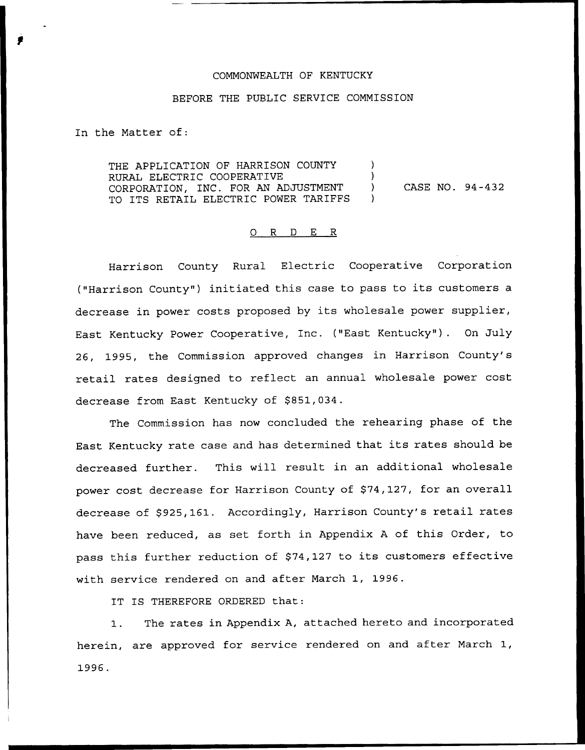#### COMMONWEALTH OF KENTUCKY

#### BEFORE THE PUBLIC SERVICE COMMISSION

In the Matter of:

THE APPLICATION OF HARRISON COUNTY  $\qquad$ RURAL ELECTRIC COOPERATIVE CORPORATION, INC. FOR AN ADJUSTMENT ) TO ITS RETAIL ELECTRIC POWER TARIFFS CASE NO. 94-432

#### 0 R <sup>D</sup> E <sup>R</sup>

Harrison County Rural Electric Cooperative Corporation ("Harrison County") initiated this case to pass to its customers a decrease in power costs proposed by its wholesale power supplier, East Kentucky Power Cooperative, Inc. ("East Kentucky" ). On July 26, 1995, the Commission approved changes in Harrison County's retail rates designed to reflect an annual wholesale power cost decrease from East Kentucky of \$851,034.

The Commission has now concluded the rehearing phase of the East Kentucky rate case and has determined that its rates should be decreased further. This will result in an additional wholesale power cost decrease for Harrison County of \$74,127, for an overall decrease of \$925,161. Accordingly, Harrison County's retail rates have been reduced, as set forth in Appendix <sup>A</sup> of this Order, to pass this further reduction of \$74,127 to its customers effective with service rendered on and after March 1, 1996.

IT IS THEREFORE ORDERED that:

1. The rates in Appendix A, attached hereto and incorporated herein, are approved for service rendered on and after March 1, 1996.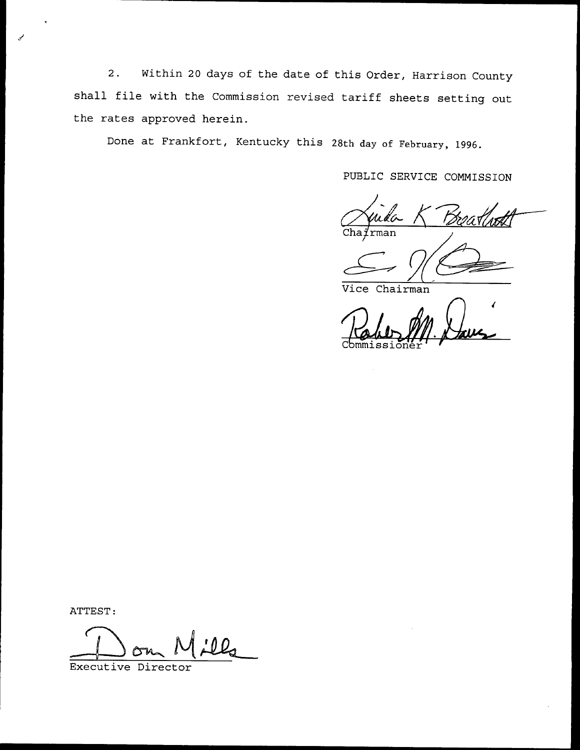2. Within <sup>20</sup> days of the date of this Order, Harrison County shall file with the Commission revised tariff sheets setting out the rates approved herein.

Done at Frankfort, Kentucky this 28th day of February, 1996.

PUBLIC SERVICE COMMISSION

 $Cha{i'}$ rman

Vice Chairman

ATTEST:

Executive Director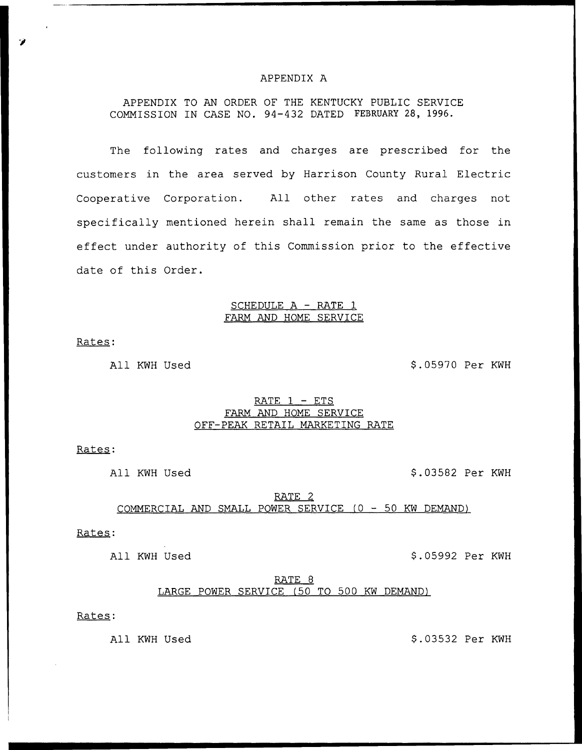### APPENDIX A

APPENDIX TO AN ORDER OF THE KENTUCKY PUBLIC SERVICE COMMISSION IN CASE NO. 94—432 DATED FEBRUARY 28, 1996.

The following rates and charges are prescribed for the customers in the area served by Harrison County Rural Electric Cooperative Corporation. All other rates and charges not specifically mentioned herein shall remain the same as those in effect under authority of this Commission prior to the effective date of this Order.

### SCHEDULE A — RATE 1 FARM AND HOME SERVICE

Rates:

All KWH Used  $$.05970$  Per KWH

## RATE 1 — ETS FARM AND HOME SERVICE OFF-PEAK RETAIL MARKETING RATE

Rates:

All KWH Used  $$.03582$  Per KWH

# RATE 2 COMMERCIAL AND SMALL POWER SERVICE (0 — 50 KW DEMAND)

Rates:

All KWH Used  $$.05992$  Per KWH

RATE 8 LARGE POWER SERVICE (50 TO 500 KW DEMAND)

Rates:

All KWH Used  $$.03532$  Per KWH